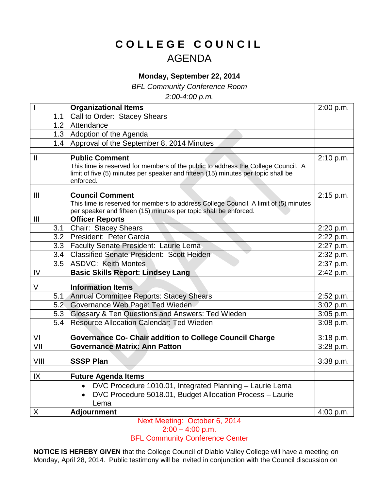## **C O L L E G E C O U N C I L** AGENDA

## **Monday, September 22, 2014**

*BFL Community Conference Room*

*2:00-4:00 p.m.*

|                       |                  | <b>Organizational Items</b>                                                                                                                                            | 2:00 p.m. |
|-----------------------|------------------|------------------------------------------------------------------------------------------------------------------------------------------------------------------------|-----------|
|                       | 1.1              | Call to Order: Stacey Shears                                                                                                                                           |           |
|                       |                  | 1.2 Attendance                                                                                                                                                         |           |
|                       |                  | 1.3   Adoption of the Agenda                                                                                                                                           |           |
|                       |                  | 1.4   Approval of the September 8, 2014 Minutes                                                                                                                        |           |
|                       |                  |                                                                                                                                                                        |           |
| $\mathbf{I}$          |                  | <b>Public Comment</b>                                                                                                                                                  | 2:10 p.m. |
|                       |                  | This time is reserved for members of the public to address the College Council. A<br>limit of five (5) minutes per speaker and fifteen (15) minutes per topic shall be |           |
|                       |                  | enforced.                                                                                                                                                              |           |
|                       |                  |                                                                                                                                                                        |           |
| $\mathbf{III}$        |                  | <b>Council Comment</b>                                                                                                                                                 | 2:15 p.m. |
|                       |                  | This time is reserved for members to address College Council. A limit of (5) minutes                                                                                   |           |
|                       |                  | per speaker and fifteen (15) minutes per topic shall be enforced.                                                                                                      |           |
| III                   |                  | <b>Officer Reports</b>                                                                                                                                                 |           |
|                       | 3.1              | <b>Chair: Stacey Shears</b>                                                                                                                                            | 2:20 p.m. |
|                       | 3.2              | President: Peter Garcia                                                                                                                                                | 2:22 p.m. |
|                       | 3.3              | Faculty Senate President: Laurie Lema                                                                                                                                  | 2:27 p.m. |
|                       | 3.4 <sub>1</sub> | <b>Classified Senate President: Scott Heiden</b>                                                                                                                       | 2:32 p.m. |
|                       | 3.5              | <b>ASDVC: Keith Montes</b>                                                                                                                                             | 2:37 p.m. |
| IV                    |                  | <b>Basic Skills Report: Lindsey Lang</b>                                                                                                                               | 2:42 p.m. |
| $\overline{\vee}$     |                  | <b>Information Items</b>                                                                                                                                               |           |
|                       | 5.1              | <b>Annual Committee Reports: Stacey Shears</b>                                                                                                                         | 2:52 p.m. |
|                       | 5.2              | Governance Web Page: Ted Wieden                                                                                                                                        | 3:02 p.m. |
|                       | 5.3              | Glossary & Ten Questions and Answers: Ted Wieden                                                                                                                       | 3:05 p.m. |
|                       | 5.4              | <b>Resource Allocation Calendar: Ted Wieden</b>                                                                                                                        | 3:08 p.m. |
|                       |                  |                                                                                                                                                                        |           |
| VI                    |                  | <b>Governance Co- Chair addition to College Council Charge</b>                                                                                                         | 3:18 p.m. |
| $\overline{\text{V}}$ |                  | <b>Governance Matrix: Ann Patton</b>                                                                                                                                   | 3:28 p.m. |
| VIII                  |                  | <b>SSSP Plan</b>                                                                                                                                                       | 3:38 p.m. |
|                       |                  |                                                                                                                                                                        |           |
| IX                    |                  | <b>Future Agenda Items</b>                                                                                                                                             |           |
|                       |                  | DVC Procedure 1010.01, Integrated Planning - Laurie Lema                                                                                                               |           |
|                       |                  | DVC Procedure 5018.01, Budget Allocation Process - Laurie                                                                                                              |           |
|                       |                  | Lema                                                                                                                                                                   |           |
| $\pmb{\times}$        |                  | <b>Adjournment</b>                                                                                                                                                     | 4:00 p.m. |
|                       |                  |                                                                                                                                                                        |           |

Next Meeting: October 6, 2014  $2:00 - 4:00$  p.m.

## BFL Community Conference Center

**NOTICE IS HEREBY GIVEN** that the College Council of Diablo Valley College will have a meeting on Monday, April 28, 2014. Public testimony will be invited in conjunction with the Council discussion on